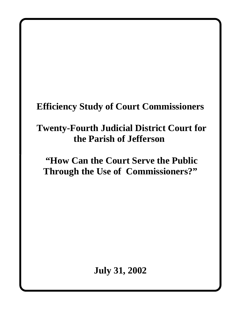# **Efficiency Study of Court Commissioners**

# **Twenty-Fourth Judicial District Court for the Parish of Jefferson**

# **"How Can the Court Serve the Public Through the Use of Commissioners?"**

**July 31, 2002**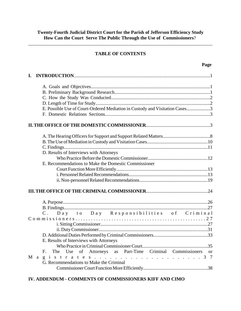\_\_\_\_\_\_\_\_\_\_\_\_\_\_\_\_\_\_\_\_\_\_\_\_\_\_\_\_\_\_\_\_\_\_\_\_\_\_\_\_\_\_\_\_\_\_\_\_\_\_\_\_\_\_\_\_\_\_\_\_\_\_\_\_\_\_\_\_\_\_\_\_\_\_\_\_\_\_

# **TABLE OF CONTENTS**

| $\mathbf{I}$ .                                                               |  |
|------------------------------------------------------------------------------|--|
|                                                                              |  |
|                                                                              |  |
|                                                                              |  |
|                                                                              |  |
| E. Possible Use of Court-Ordered Mediation in Custody and Visitation Cases3  |  |
|                                                                              |  |
|                                                                              |  |
|                                                                              |  |
|                                                                              |  |
|                                                                              |  |
| D. Results of Interviews with Attorneys                                      |  |
|                                                                              |  |
| E. Recommendations to Make the Domestic Commissioner                         |  |
|                                                                              |  |
|                                                                              |  |
|                                                                              |  |
|                                                                              |  |
|                                                                              |  |
|                                                                              |  |
| Day to Day Responsibilities of Criminal<br>$\mathbf{C}$ .                    |  |
|                                                                              |  |
|                                                                              |  |
|                                                                              |  |
|                                                                              |  |
| E. Results of Interviews with Attorneys                                      |  |
|                                                                              |  |
| F. The Use of Attorneys as Part-Time Criminal Commissioners<br><sub>or</sub> |  |
| Magistrates37                                                                |  |
| G. Recommendations to Make the Criminal                                      |  |
|                                                                              |  |

# **IV. ADDENDUM - COMMENTS OF COMMISSIONERS KIFF AND CIMO**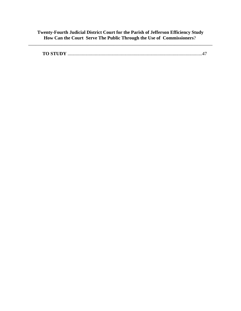\_\_\_\_\_\_\_\_\_\_\_\_\_\_\_\_\_\_\_\_\_\_\_\_\_\_\_\_\_\_\_\_\_\_\_\_\_\_\_\_\_\_\_\_\_\_\_\_\_\_\_\_\_\_\_\_\_\_\_\_\_\_\_\_\_\_\_\_\_\_\_\_\_\_\_\_\_\_

|--|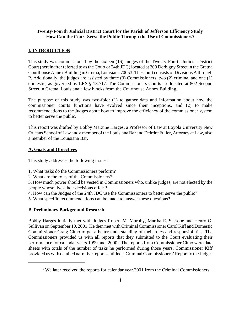# **I. INTRODUCTION**

This study was commissioned by the sixteen (16) Judges of the Twenty-Fourth Judicial District Court (hereinafter referred to as the Court or 24th JDC) located at 200 Derbigny Street in the Gretna Courthouse Annex Building in Gretna, Louisiana 70053. The Court consists of Divisions A through P. Additionally, the judges are assisted by three (3) Commissioners, two (2) criminal and one (1) domestic, as governed by LRS § 13:717. The Commissioners Courts are located at 802 Second Street in Gretna, Louisiana a few blocks from the Courthouse Annex Building.

The purpose of this study was two-fold: (1) to gather data and information about how the commissioner courts functions have evolved since their inceptions, and (2) to make recommendations to the Judges about how to improve the efficiency of the commissioner system to better serve the public.

This report was drafted by Bobby Marzine Harges, a Professor of Law at Loyola University New Orleans School of Law and a member of the Louisiana Bar and Deirdre Fuller, Attorney at Law, also a member of the Louisiana Bar.

## **A. Goals and Objectives**

This study addresses the following issues:

- 1. What tasks do the Commissioners perform?
- 2. What are the roles of the Commissioners?

3. How much power should be vested in Commissioners who, unlike judges, are not elected by the people whose lives their decisions effect?

- 4. How can the Judges of the 24th JDC use the Commissioners to better serve the public?
- 5. What specific recommendations can be made to answer these questions?

# **B. Preliminary Background Research**

Bobby Harges initially met with Judges Robert M. Murphy, Martha E. Sassone and Henry G. Sullivan on September 10, 2001. He then met with Criminal Commissioner Carol Kiff and Domestic Commissioner Craig Cimo to get a better understanding of their roles and responsibilities. The Commissioners provided us with all reports that they submitted to the Court evaluating their performance for calendar years 1999 and 2000.<sup>1</sup> The reports from Commissioner Cimo were data sheets with totals of the number of tasks he performed during those years. Commissioner Kiff provided us with detailed narrative reports entitled, "Criminal Commissioners' Report to the Judges

<sup>&</sup>lt;sup>1</sup> We later received the reports for calendar year 2001 from the Criminal Commissioners.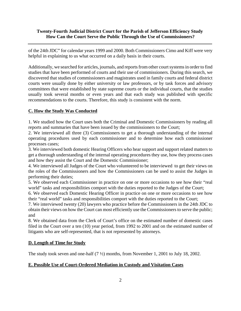of the 24th JDC" for calendar years 1999 and 2000. Both Commissioners Cimo and Kiff were very helpful in explaining to us what occurred on a daily basis in their courts.

Additionally, we searched for articles, journals, and reports from other court systems in order to find studies that have been performed of courts and their use of commissioners. During this search, we discovered that studies of commissioners and magistrates used in family courts and federal district courts were usually done by either university or law professors, or by task forces and advisory committees that were established by state supreme courts or the individual courts, that the studies usually took several months or even years and that each study was published with specific recommendations to the courts. Therefore, this study is consistent with the norm.

## **C. How the Study Was Conducted**

1. We studied how the Court uses both the Criminal and Domestic Commissioners by reading all reports and summaries that have been issued by the commissioners to the Court;

2. We interviewed all three (3) Commissioners to get a thorough understanding of the internal operating procedures used by each commissioner and to determine how each commissioner processes cases;

3. We interviewed both domestic Hearing Officers who hear support and support related matters to get a thorough understanding of the internal operating procedures they use, how they process cases and how they assist the Court and the Domestic Commissioner;

4. We interviewed all Judges of the Court who volunteered to be interviewed to get their views on the roles of the Commissioners and how the Commissioners can be used to assist the Judges in performing their duties;

5. We observed each Commissioner in practice on one or more occasions to see how their "real world" tasks and responsibilities comport with the duties reported to the Judges of the Court;

6. We observed each Domestic Hearing Officer in practice on one or more occasions to see how their "real world" tasks and responsibilities comport with the duties reported to the Court;

7. We interviewed twenty (20) lawyers who practice before the Commissioners in the 24th JDC to obtain their views on how the Court can most efficiently use the Commissioners to serve the public; and

8. We obtained data from the Clerk of Court's office on the estimated number of domestic cases filed in the Court over a ten (10) year period, from 1992 to 2001 and on the estimated number of litigants who are self-represented, that is not represented by attorneys.

#### **D. Length of Time for Study**

The study took seven and one-half (7 ½) months, from November 1, 2001 to July 18, 2002.

# **E. Possible Use of Court-Ordered Mediation in Custody and Visitation Cases**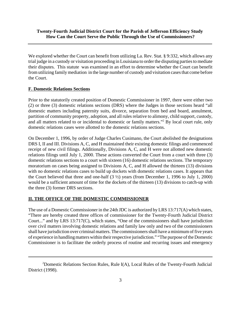We explored whether the Court can benefit from utilizing La. Rev. Stat. § 9:332, which allows any trial judge in a custody or visitation proceeding in Louisiana to order the disputing parties to mediate their disputes. This statute was examined in an effort to determine whether the Court can benefit from utilizing family mediation in the large number of custody and visitation cases that come before the Court.

# **F. Domestic Relations Sections**

Prior to the statutorily created position of Domestic Commissioner in 1997, there were either two (2) or three (3) domestic relations sections (DRS) where the Judges in those sections heard "all domestic matters including paternity suits, divorce, separation from bed and board, annulment, partition of community property, adoption, and all rules relative to alimony, child support, custody, and all matters related to or incidental to domestic or family matters."<sup>2</sup> By local court rule, only domestic relations cases were allotted to the domestic relations sections.

On December 1, 1996, by order of Judge Charles Cusimano, the Court abolished the designations DRS I, II and III. Divisions A, C, and H maintained their existing domestic filings and commenced receipt of new civil filings. Additionally, Divisions A, C, and H were not allotted new domestic relations filings until July 1, 2000. These actions converted the Court from a court with three (3) domestic relations sections to a court with sixteen (16) domestic relations sections. The temporary moratorium on cases being assigned to Divisions A, C, and H allowed the thirteen (13) divisions with no domestic relations cases to build up dockets with domestic relations cases. It appears that the Court believed that three and one-half  $(3 \frac{1}{2})$  years (from December 1, 1996 to July 1, 2000) would be a sufficient amount of time for the dockets of the thirteen (13) divisions to catch-up with the three (3) former DRS sections.

# **II. THE OFFICE OF THE DOMESTIC COMMISSIONER**

The use of a Domestic Commissioner in the 24th JDC is authorized by LRS 13:717(A) which states, "There are hereby created three offices of commissioner for the Twenty-Fourth Judicial District Court..." and by LRS 13:717(C), which states, "One of the commissioners shall have jurisdiction over civil matters involving domestic relations and family law only and two of the commissioners shall have jurisdiction over criminal matters. The commissioners shall have a minimum of five years of experience in handling matters within their respective jurisdiction." "The purpose of the Domestic Commissioner is to facilitate the orderly process of routine and recurring issues and emergency

<sup>&</sup>lt;sup>2</sup>Domestic Relations Section Rules, Rule  $I(A)$ , Local Rules of the Twenty-Fourth Judicial District (1998).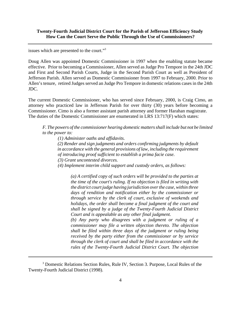issues which are presented to the court."3

Doug Allen was appointed Domestic Commissioner in 1997 when the enabling statute became effective. Prior to becoming a Commissioner, Allen served as Judge Pro Tempore in the 24th JDC and First and Second Parish Courts, Judge in the Second Parish Court as well as President of Jefferson Parish. Allen served as Domestic Commissioner from 1997 to February, 2000. Prior to Allen's tenure, retired Judges served an Judge Pro Tempore in domestic relations cases in the 24th JDC.

The current Domestic Commissioner, who has served since February, 2000, is Craig Cimo, an attorney who practiced law in Jefferson Parish for over thirty (30) years before becoming a Commissioner. Cimo is also a former assistant parish attorney and former Harahan magistrate. The duties of the Domestic Commissioner are enumerated in LRS 13:717(F) which states:

*F. The powers of the commissioner hearing domestic matters shall include but not be limited to the power to:*

 *(1) Administer oaths and affidavits.*

 *(2) Render and sign judgments and orders confirming judgments by default in accordance with the general provisions of law, including the requirement of introducing proof sufficient to establish a prima facie case. (3) Grant uncontested divorces.*

 *(4) Implement interim child support and custody orders, as follows:*

*(a) A certified copy of such orders will be provided to the parties at the time of the court's ruling. If no objection is filed in writing with the district court judge having jurisdiction over the case, within three days of rendition and notification either by the commissioner or through service by the clerk of court, exclusive of weekends and holidays, the order shall become a final judgment of the court and shall be signed by a judge of the Twenty-Fourth Judicial District Court and is appealable as any other final judgment.*

*(b) Any party who disagrees with a judgment or ruling of a commissioner may file a written objection thereto. The objection shall be filed within three days of the judgment or ruling being received by the party either from the commissioner or by service through the clerk of court and shall be filed in accordance with the rules of the Twenty-Fourth Judicial District Court. The objection*

<sup>&</sup>lt;sup>3</sup> Domestic Relations Section Rules, Rule IV, Section 3. Purpose, Local Rules of the Twenty-Fourth Judicial District (1998).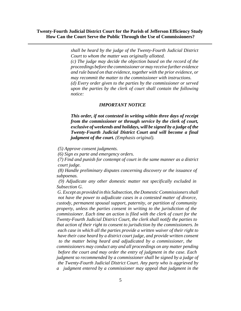> *shall be heard by the judge of the Twenty-Fourth Judicial District Court to whom the matter was originally allotted. (c) The judge may decide the objection based on the record of the proceedings before the commissioner or may receive further evidence and rule based on that evidence, together with the prior evidence, or may recommit the matter to the commissioner with instructions. (d) Every order given to the parties by the commissioner or served upon the parties by the clerk of court shall contain the following notice:*

#### *IMPORTANT NOTICE*

*This order, if not contested in writing within three days of receipt from the commissioner or through service by the clerk of court, exclusive of weekends and holidays, will be signed by a judge of the Twenty-Fourth Judicial District Court and will become a final judgment of the court. (Emphasis original).*

 *(5) Approve consent judgments.*

 *(6) Sign ex parte and emergency orders.*

 *(7) Find and punish for contempt of court in the same manner as a district court judge.*

 *(8) Handle preliminary disputes concerning discovery or the issuance of subpoenas.*

 *(9) Adjudicate any other domestic matter not specifically excluded in Subsection G.*

 *G. Except as provided in this Subsection, the Domestic Commissioners shall not have the power to adjudicate cases in a contested matter of divorce, custody, permanent spousal support, paternity, or partition of community property, unless the parties consent in writing to the jurisdiction of the commissioner. Each time an action is filed with the clerk of court for the Twenty-Fourth Judicial District Court, the clerk shall notify the parties to that action of their right to consent to jurisdiction by the commissioners. In each case in which all the parties provide a written waiver of their right to have their case heard by a district court judge, and provide written consent to the matter being heard and adjudicated by a commissioner, the* 

*commissioners may conduct any and all proceedings on any matter pending before the court and may order the entry of judgment in the case. Each judgment so recommended by a commissioner shall be signed by a judge of the Twenty-Fourth Judicial District Court. Any party who is aggrieved by a judgment entered by a commissioner may appeal that judgment in the*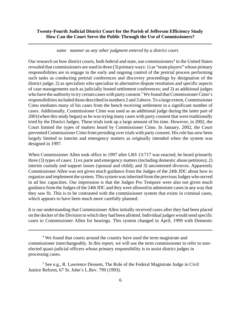#### *same manner as any other judgment entered by a district court.*

Our research on how district courts, both federal and state, use commissioners<sup>4</sup> in the United States revealed that commissioners are used in three (3) primary ways: 1) as "team players" whose primary responsibilities are to engage in the early and ongoing control of the pretrial process performing such tasks as conducting pretrial conferences and discovery proceedings by designation of the district judge; 2) as specialists who specialize in alternative dispute resolution and specific aspects of case managements such as judicially hosted settlement conferences; and 3) as additional judges who have the authority to try certain cases with party consent.<sup>5</sup> We found that Commissioner Cimo's responsibilities included those described in numbers 2 and 3 above. To a large extent, Commissioner Cimo mediates many of his cases from the bench receiving settlement in a significant number of cases. Additionally, Commissioner Cimo was used as an additional judge during the latter part of 2001(when this study began) as he was trying many cases with party consent that were traditionally tried by the District Judges. These trials took up a large amount of his time. However, in 2002, the Court limited the types of matters heard by Commissioner Cimo. In January, 2002, the Court prevented Commissioner Cimo from presiding over trials with party consent. His role has now been largely limited to interim and emergency matters as originally intended when the system was designed in 1997.

When Commissioner Allen took office in 1997 after LRS 13:717 was enacted, he heard primarily three (3) types of cases: 1) ex parte and emergency matters (including domestic abuse petitions); 2) interim custody and support issues (spousal and child); and 3) uncontested divorces. Apparently Commissioner Allen was not given much guidance from the Judges of the 24th JDC about how to organize and implement the system. This system was inherited from the previous Judges who served in ad hoc capacities. Our impression is that the Judges Pro Tempore were also not given much guidance from the Judges of the 24th JDC and they were allowed to administer cases in any way that they saw fit. This is to be contrasted with the commissioner system that exists in criminal cases, which appears to have been much more carefully planned.

It is our understanding that Commissioner Allen initially received cases after they had been placed on the docket of the Division to which they had been allotted. Individual judges would send specific cases to Commissioner Allen for hearings. This system changed in April, 1999 with Domestic

<sup>&</sup>lt;sup>4</sup> We found that courts around the country have used the term magistrate and commissioner interchangeably. In this report, we will use the term commissioner to refer to nonelected quasi-judicial officers whose primary responsibility is to assist district judges in processing cases.

<sup>&</sup>lt;sup>5</sup> See e.g., R. Lawrence Dessem, The Role of the Federal Magistrate Judge in Civil Justice Reform, 67 St. John's L.Rev. 799 (1993).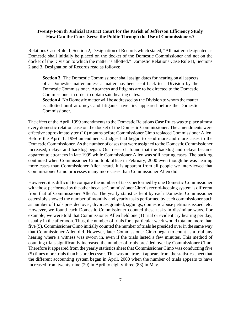Relations Case Rule II, Section 2, Designation of Records which stated, "All matters designated as Domestic shall initially be placed on the docket of the Domestic Commissioner and not on the docket of the Division to which the matter is allotted." Domestic Relations Case Rule II, Sections 2 and 3, Designation of Records read as follows:

**Section 3.** The Domestic Commissioner shall assign dates for hearing on all aspects of a Domestic matter unless a matter has been sent back to a Division by the Domestic Commissioner. Attorneys and litigants are to be directed to the Domestic Commissioner in order to obtain said hearing dates.

**Section 4.** No Domestic matter will be addressed by the Division to whom the matter is allotted until attorneys and litigants have first appeared before the Domestic Commissioner.

The effect of the April, 1999 amendments to the Domestic Relations Case Rules was to place almost every domestic relation case on the docket of the Domestic Commissioner. The amendments were effective approximately ten (10) months before Commissioner Cimo replaced Commissioner Allen. Before the April 1, 1999 amendments, Judges had begun to send more and more cases to the Domestic Commissioner. As the number of cases that were assigned to the Domestic Commissioner increased, delays and backlog began. Our research found that the backlog and delays became apparent to attorneys in late 1999 while Commissioner Allen was still hearing cases. The backlog continued when Commissioner Cimo took office in February, 2000 even though he was hearing more cases than Commissioner Allen heard. It is apparent from all people we interviewed that Commissioner Cimo processes many more cases than Commissioner Allen did.

However, it is difficult to compare the number of tasks performed by one Domestic Commissioner with those performed by the other because Commissioner Cimo's record-keeping system is different from that of Commissioner Allen's. The yearly statistics kept by each Domestic Commissioner ostensibly showed the number of monthly and yearly tasks performed by each commissioner such as number of trials presided over, divorces granted, signings, domestic abuse petitions issued, etc. However, we found each Domestic Commissioner counted these tasks in dissimilar ways. For example, we were told that Commissioner Allen held one (1) trial or evidentiary hearing per day, usually in the afternoon. Thus, the number of trials for a particular week would total no more than five (5). Commissioner Cimo initially counted the number of trials he presided over in the same way that Commissioner Allen did. However, later Commissioner Cimo began to count as a trial any hearing where a witness was sworn in, even if the trials lasted a few minutes. This method of counting trials significantly increased the number of trials presided over by Commissioner Cimo. Therefore it appeared from the yearly statistics sheet that Commissioner Cimo was conducting five (5) times more trials than his predecessor. This was not true. It appears from the statistics sheet that the different accounting system began in April, 2000 when the number of trials appears to have increased from twenty-nine (29) in April to eighty-three (83) in May.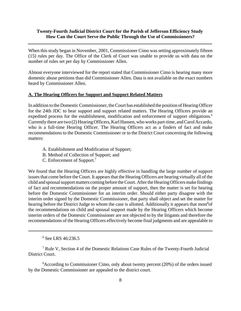When this study began in November, 2001, Commissioner Cimo was setting approximately fifteen (15) rules per day. The Office of the Clerk of Court was unable to provide us with data on the number of rules set per day by Commissioner Allen.

Almost everyone interviewed for the report stated that Commissioner Cimo is hearing many more domestic abuse petitions than did Commissioner Allen. Data is not available on the exact numbers heard by Commissioner Allen.

#### **A. The Hearing Officers for Support and Support Related Matters**

In addition to the Domestic Commissioner, the Court has established the position of Hearing Officer for the 24th JDC to hear support and support related matters. The Hearing Officers provide an expedited process for the establishment, modification and enforcement of support obligations.<sup>6</sup> Currently there are two (2) Hearing Officers, Karl Hansen, who works part-time, and Carol Accardo, who is a full-time Hearing Officer. The Hearing Officers act as a finders of fact and make recommendations to the Domestic Commissioner or to the District Court concerning the following matters:

- A. Establishment and Modification of Support;
- B. Method of Collection of Support; and
- C. Enforcement of Support.7

We found that the Hearing Officers are highly effective in handling the large number of support issues that come before the Court. It appears that the Hearing Officers are hearing virtually all of the child and spousal support matters coming before the Court. After the Hearing Officers make findings of fact and recommendations on the proper amount of support, then the matter is set for hearing before the Domestic Commissioner for an interim order. Should either party disagree with the interim order signed by the Domestic Commissioner, that party shall object and set the matter for hearing before the District Judge to whom the case is allotted. Additionally it appears that most<sup>8</sup>of the recommendations on child and spousal support made by the Hearing Officers which become interim orders of the Domestic Commissioner are not objected to by the litigants and therefore the recommendations of the Hearing Officers effectively become final judgments and are appealable to

<sup>8</sup> According to Commissioner Cimo, only about twenty percent (20%) of the orders issued by the Domestic Commissioner are appealed to the district court.

<sup>6</sup> See LRS 46:236.5

<sup>&</sup>lt;sup>7</sup> Rule V, Section 4 of the Domestic Relations Case Rules of the Twenty-Fourth Judicial District Court.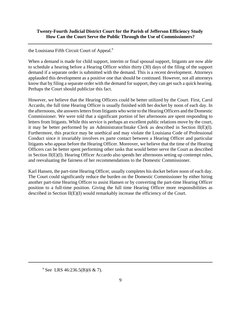the Louisiana Fifth Circuit Court of Appeal.<sup>9</sup>

When a demand is made for child support, interim or final spousal support, litigants are now able to schedule a hearing before a Hearing Officer within thirty (30) days of the filing of the support demand if a separate order is submitted with the demand. This is a recent development. Attorneys applauded this development as a positive one that should be continued. However, not all attorneys know that by filing a separate order with the demand for support, they can get such a quick hearing. Perhaps the Court should publicize this fact.

However, we believe that the Hearing Officers could be better utilized by the Court. First, Carol Accardo, the full time Hearing Officer is usually finished with her docket by noon of each day. In the afternoons, she answers letters from litigants who write to the Hearing Officers and the Domestic Commissioner. We were told that a significant portion of her afternoons are spent responding to letters from litigants. While this service is perhaps an excellent public relations move by the court, it may be better performed by an Administrator/Intake Clerk as described in Section II(E)(I). Furthermore, this practice may be unethical and may violate the Louisiana Code of Professional Conduct since it invariably involves ex parte contact between a Hearing Officer and particular litigants who appear before the Hearing Officer. Moreover, we believe that the time of the Hearing Officers can be better spent performing other tasks that would better serve the Court as described in Section II(E)(I). Hearing Officer Accardo also spends her afternoons setting up contempt rules, and reevaluating the fairness of her recommendations to the Domestic Commissioner.

Karl Hansen, the part-time Hearing Officer, usually completes his docket before noon of each day. The Court could significantly reduce the burden on the Domestic Commissioner by either hiring another part-time Hearing Officer to assist Hansen or by converting the part-time Hearing Officer position to a full-time position. Giving the full time Hearing Officer more responsibilities as described in Section II(E)(I) would remarkably increase the efficiency of the Court.

<sup>&</sup>lt;sup>9</sup> See LRS 46:236.5(B)(6 & 7).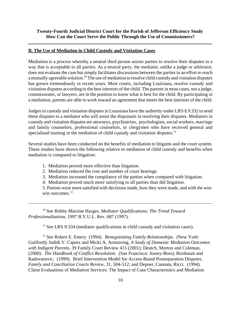#### **B. The Use of Mediation in Child Custody and Visitation Cases**

Mediation is a process whereby a neutral third person assists parties to resolve their disputes in a way that is acceptable to all parties. As a neutral party, the mediator, unlike a judge or arbitrator, does not evaluate the case but simply facilitates discussions between the parties in an effort to reach a mutually agreeable solution.10 The use of mediation to resolve child custody and visitation disputes has grown tremendously in recent years. Most courts, including Louisiana, resolve custody and visitation disputes according to the best interests of the child. The parents in most cases, not a judge, commissioner, or lawyers, are in the position to know what is best for the child. By participating in a mediation, parents are able to work toward an agreement that meets the best interests of the child.

Judges in custody and visitation disputes in Louisiana have the authority under LRS § 9:332 to send these disputes to a mediator who will assist the disputants in resolving their disputes. Mediators in custody and visitation disputes are attorneys, psychiatrists, psychologists, social workers, marriage and family counselors, professional counselors, or clergymen who have received general and specialized training in the mediation of child custody and visitation disputes.<sup>11</sup>

Several studies have been conducted on the benefits of mediation to litigants and the court system. These studies have shown the following relative to mediation of child custody and benefits when mediation is compared to litigation:

- 1. Mediation proved more effective than litigation.
- 2. Mediation reduced the cost and number of court hearings.
- 3. Mediation increased the compliance of the parties when compared with litigation.
- 4. Mediation proved much more satisfying to all parties than did litigation.

5. Parents were more satisfied with decisions made, how they were made, and with the winwin outcomes. $12$ 

10 See Bobby Marzine Harges, *Mediator Qualifications: The Trend Toward Professionalization*, 1997 B.Y.U.L. Rev. 687 (1997).

 $11$  See LRS 9:334 (mediator qualifications in child custody and visitation cases).

12 See Robert E. Emery (1994). *Renegotiating Family Relationships.* (New York: Guilford); Judith V. Caprez and Micki A. Armstrong, *A Study of Domestic Mediation Outcomes with Indigent Parents*, 39 Family Court Review 415 (2001); Deutch, Morton and Coleman. (2000). *The Handbook of Conflict Resolution*. (San Francisco: Jossey-Boss); Birnbaum and Radovanovic. (1999). Brief Intervention Model for Access-Based Postseparation Disputes. *Family and Conciliation Courts Review*, 31, 504-512; and Depner, Cannata, Ricci. (1994). Client Evaluations of Mediation Services: The Impact of Case Characteristics and Mediation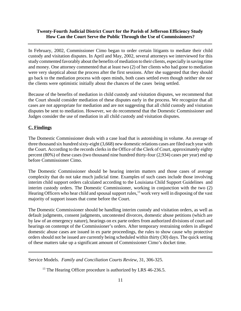In February, 2002, Commissioner Cimo began to order certain litigants to mediate their child custody and visitation disputes. In April and May, 2002, several attorneys we interviewed for this study commented favorably about the benefits of mediation to their clients, especially in saving time and money. One attorney commented that at least two (2) of her clients who had gone to mediation were very skeptical about the process after the first sessions. After she suggested that they should go back to the mediation process with open minds, both cases settled even though neither she nor the clients were optimistic initially about the chances of the cases being settled.

Because of the benefits of mediation in child custody and visitation disputes, we recommend that the Court should consider mediation of these disputes early in the process. We recognize that all cases are not appropriate for mediation and are not suggesting that all child custody and visitation disputes be sent to mediation. However, we do recommend that the Domestic Commissioner and Judges consider the use of mediation in all child custody and visitation disputes.

#### **C. Findings**

The Domestic Commissioner deals with a case load that is astonishing in volume. An average of three thousand six hundred sixty-eight (3,668) new domestic relations cases are filed each year with the Court. According to the records clerks in the Office of the Clerk of Court, approximately eighty percent (80%) of these cases (two thousand nine hundred thirty-four (2,934) cases per year) end up before Commissioner Cimo.

The Domestic Commissioner should be hearing interim matters and those cases of average complexity that do not take much judicial time. Examples of such cases include those involving interim child support orders calculated according to the Louisiana Child Support Guidelines and interim custody orders. The Domestic Commissioner, working in conjunction with the two (2) Hearing Officers who hear child and spousal support rules,<sup>13</sup> work very well in disposing of the vast majority of support issues that come before the Court.

The Domestic Commissioner should be handling interim custody and visitation orders, as well as default judgments, consent judgments, uncontested divorces, domestic abuse petitions (which are by law of an emergency nature), hearings on ex parte orders from authorized divisions of court and hearings on contempt of the Commissioner's orders. After temporary restraining orders in alleged domestic abuse cases are issued in ex parte proceedings, the rules to show cause why protective orders should not be issued are currently being scheduled within thirty (30) days. The quick setting of these matters take up a significant amount of Commissioner Cimo's docket time.

Service Models. *Family and Conciliation Courts Review*, 31, 306-325.

 $^{13}$  The Hearing Officer procedure is authorized by LRS 46-236.5.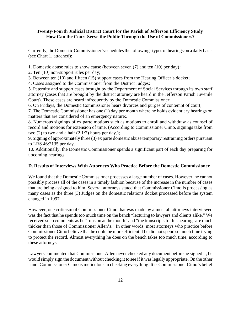Currently, the Domestic Commissioner's schedules the followings types of hearings on a daily basis (see Chart 1, attached):

1. Domestic abuse rules to show cause (between seven (7) and ten (10) per day) ;

2. Ten (10) non-support rules per day;

3. Between ten (10) and fifteen (15) support cases from the Hearing Officer's docket;

4. Cases assigned to the Commissioner from the District Judges;

5. Paternity and support cases brought by the Department of Social Services through its own staff attorney (cases that are brought by the district attorney are heard in the Jefferson Parish Juvenile Court). These cases are heard infrequently by the Domestic Commissioner;

6. On Fridays, the Domestic Commissioner hears divorces and purges of contempt of court;

7. The Domestic Commissioner has one (1) day per month where he holds evidentiary hearings on matters that are considered of an emergency nature;.

8. Numerous signings of ex parte motions such as motions to enroll and withdraw as counsel of record and motions for extension of time. (According to Commissioner Cimo, signings take from two (2) to two and a half (2 $1/2$ ) hours per day.);

9. Signing of approximately three (3) ex parte domestic abuse temporary restraining orders pursuant to LRS 46:2135 per day.

10. Additionally, the Domestic Commissioner spends a significant part of each day preparing for upcoming hearings.

#### **D. Results of Interviews With Attorneys Who Practice Before the Domestic Commissioner**

We found that the Domestic Commissioner processes a large number of cases. However, he cannot possibly process all of the cases in a timely fashion because of the increase in the number of cases that are being assigned to him. Several attorneys stated that Commissioner Cimo is processing as many cases as the three (3) Judges on the domestic relations docket processed before the system changed in 1997.

However, one criticism of Commissioner Cimo that was made by almost all attorneys interviewed was the fact that he spends too much time on the bench "lecturing to lawyers and clients alike." We received such comments as he "runs on at the mouth" and "the transcripts for his hearings are much thicker than those of Commissioner Allen's." In other words, most attorneys who practice before Commissioner Cimo believe that he could be more efficient if he did not spend so much time trying to protect the record. Almost everything he does on the bench takes too much time, according to these attorneys.

Lawyers commented that Commissioner Allen never checked any document before he signed it; he would simply sign the document without checking it to see if it was legally appropriate. On the other hand, Commissioner Cimo is meticulous in checking everything. It is Commissioner Cimo's belief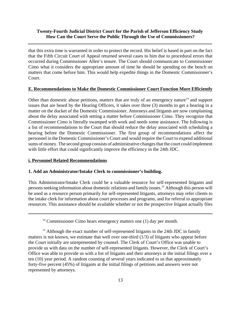that this extra time is warranted in order to protect the record. His belief is based in part on the fact that the Fifth Circuit Court of Appeal returned several cases to him due to procedural errors that occurred during Commissioner Allen's tenure. The Court should communicate to Commissioner Cimo what it considers the appropriate amount of time he should be spending on the bench on matters that come before him. This would help expedite things in the Domestic Commissioner's Court.

#### **E. Recommendations to Make the Domestic Commissioner Court Function More Efficiently**

Other than domestic abuse petitions, matters that are truly of an emergency nature<sup>14</sup> and support issues that are heard by the Hearing Officers, it takes over three (3) months to get a hearing in a matter on the docket of the Domestic Commissioner. Attorneys and litigants are now complaining about the delay associated with setting a matter before Commissioner Cimo. They recognize that Commissioner Cimo is literally swamped with work and needs some assistance. The following is a list of recommendations to the Court that should reduce the delay associated with scheduling a hearing before the Domestic Commissioner. The first group of recommendations affect the personnel in the Domestic Commissioner's Court and would require the Court to expend additional sums of money. The second group consists of administrative changes that the court could implement with little effort that could significantly improve the efficiency in the 24th JDC.

#### **i. Personnel Related Recommendations**

#### **1. Add an Administrator/Intake Clerk to commissioner's building.**

This Administrator/Intake Clerk could be a valuable resource for self-represented litigants and persons seeking information about domestic relations and family issues.15 Although this person will be used as a resource person primarily for self-represented litigants, attorneys may refer clients to the intake clerk for information about court processes and programs, and for referral to appropriate resources. This assistance should be available whether or not the prospective litigant actually files

 $14$  Commissioner Cimo hears emergency matters one (1) day per month.

<sup>&</sup>lt;sup>15</sup> Although the exact number of self-represented litigants in the 24th JDC in family matters is not known, we estimate that well over one-third (1/3) of litigants who appear before the Court initially are unrepresented by counsel. The Clerk of Court's Office was unable to provide us with data on the number of self-represented litigants. However, the Clerk of Court's Office was able to provide us with a list of litigants and their attorneys at the initial filings over a ten (10) year period. A random counting of several years indicated to us that approximately forty-five percent (45%) of litigants at the initial filings of petitions and answers were not represented by attorneys.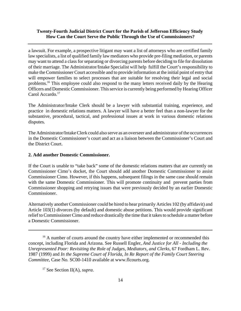a lawsuit. For example, a prospective litigant may want a list of attorneys who are certified family law specialists, a list of qualified family law mediators who provide pre-filing mediation, or parents may want to attend a class for separating or divorcing parents before deciding to file for dissolution of their marriage. The Administrator/Intake Specialist will help fulfill the Court's responsibility to make the Commissioner Court accessible and to provide information at the initial point of entry that will empower families to select processes that are suitable for resolving their legal and social problems.16 This employee could also respond to the many letters received daily by the Hearing Officers and Domestic Commissioner. This service is currently being performed by Hearing Officer Carol Accardo.<sup>17</sup>

The Administrator/Intake Clerk should be a lawyer with substantial training, experience, and practice in domestic relations matters. A lawyer will have a better feel than a non-lawyer for the substantive, procedural, tactical, and professional issues at work in various domestic relations disputes.

The Administrator/Intake Clerk could also serve as an overseer and administrator of the occurrences in the Domestic Commissioner's court and act as a liaison between the Commissioner's Court and the District Court.

#### **2. Add another Domestic Commissioner.**

If the Court is unable to "take back" some of the domestic relations matters that are currently on Commissioner Cimo's docket, the Court should add another Domestic Commissioner to assist Commissioner Cimo. However, if this happens, subsequent filings in the same case should remain with the same Domestic Commissioner. This will promote continuity and prevent parties from Commissioner shopping and retrying issues that were previously decided by an earlier Domestic Commissioner.

Alternatively another Commissioner could be hired to hear primarily Articles 102 (by affidavit) and Article 103(1) divorces (by default) and domestic abuse petitions. This would provide significant relief to Commissioner Cimo and reduce drastically the time that it takes to schedule a matter before a Domestic Commissioner.

<sup>&</sup>lt;sup>16</sup> A number of courts around the country have either implemented or recommended this concept, including Florida and Arizona. See Russell Engler, *And Justice for All - Including the Unrepresented Poor: Revisiting the Role of Judges, Mediators, and Clerks*, 67 Fordham L. Rev. 1987 (1999) and *In the Supreme Court of Florida, In Re Report of the Family Court Steering Committee*, Case No. SC00-1410 available at www.flcourts.org.

<sup>17</sup> See Section II(A), *supra*.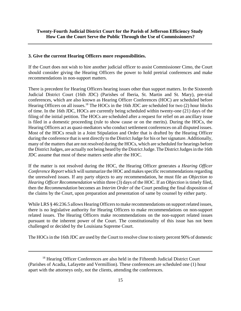#### **3. Give the current Hearing Officers more responsibilities.**

If the Court does not wish to hire another judicial officer to assist Commissioner Cimo, the Court should consider giving the Hearing Officers the power to hold pretrial conferences and make recommendations in non-support matters.

There is precedent for Hearing Officers hearing issues other than support matters. In the Sixteenth Judicial District Court (16th JDC) (Parishes of Iberia, St. Martin and St. Mary), pre-trial conferences, which are also known as Hearing Officer Conferences (HOC) are scheduled before Hearing Officers on all issues.<sup>18</sup> The HOCs in the 16th JDC are scheduled for two (2) hour blocks of time. In the 16th JDC, HOCs are currently being scheduled within twenty-one (21) days of the filing of the initial petition. The HOCs are scheduled after a request for relief on an ancillary issue is filed in a domestic proceeding (rule to show cause or on the merits). During the HOCs, the Hearing Officers act as quasi-mediators who conduct settlement conferences on all disputed issues. Most of the HOCs result in a Joint Stipulation and Order that is drafted by the Hearing Officer during the conference that is sent directly to the District Judge for his or her signature. Additionally, many of the matters that are not resolved during the HOCs, which are scheduled for hearings before the District Judges, are actually not being heard by the District Judge. The District Judges in the 16th JDC assume that most of these matters settle after the HOC.

If the matter is not resolved during the HOC, the Hearing Officer generates a *Hearing Officer Conference Report* which will summarize the HOC and makes specific recommendations regarding the unresolved issues. If any party objects to any recommendation, he must file an *Objection to Hearing Officer Recommendation* within three (3) days of the HOC. If an *Objection* is timely filed, then the *Recommendation* becomes an *Interim Order* of the Court pending the final disposition of the claims by the Court, upon preparation and presentation of same by counsel by either party.

While LRS § 46:236.5 allows Hearing Officers to make recommendations on support related issues, there is no legislative authority for Hearing Officers to make recommendations on non-support related issues. The Hearing Officers make recommendations on the non-support related issues pursuant to the inherent power of the Court. The constitutionality of this issue has not been challenged or decided by the Louisiana Supreme Court.

The HOCs in the 16th JDC are used by the Court to resolve close to ninety percent 90% of domestic

<sup>&</sup>lt;sup>18</sup> Hearing Officer Conferences are also held in the Fifteenth Judicial District Court (Parishes of Acadia, Lafayette and Vermillion). These conferences are scheduled one (1) hour apart with the attorneys only, not the clients, attending the conferences.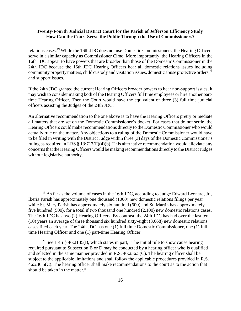relations cases.19 While the 16th JDC does not use Domestic Commissioners, the Hearing Officers serve in a similar capacity as Commissioner Cimo. More importantly, the Hearing Officers in the 16th JDC appear to have powers that are broader than those of the Domestic Commissioner in the 24th JDC because the 16th JDC Hearing Officers hear all domestic relations issues including community property matters, child custody and visitation issues, domestic abuse protective orders,  $20$ and support issues.

If the 24th JDC granted the current Hearing Officers broader powers to hear non-support issues, it may wish to consider making both of the Hearing Officers full time employees or hire another parttime Hearing Officer. Then the Court would have the equivalent of three (3) full time judicial officers assisting the Judges of the 24th JDC.

An alternative recommendation to the one above is to have the Hearing Officers pretry or mediate all matters that are set on the Domestic Commissioner's docket. For cases that do not settle, the Hearing Officers could make recommendations directly to the Domestic Commissioner who would actually rule on the matter. Any objections to a ruling of the Domestic Commissioner would have to be filed in writing with the District Judge within three (3) days of the Domestic Commissioner's ruling as required in LRS § 13:717(F)(4)(b). This alternative recommendation would alleviate any concerns that the Hearing Officers would be making recommendations directly to the District Judges without legislative authority.

<sup>&</sup>lt;sup>19</sup> As far as the volume of cases in the 16th JDC, according to Judge Edward Leonard, Jr., Iberia Parish has approximately one thousand (1000) new domestic relations filings per year while St. Mary Parish has approximately six hundred (600) and St. Martin has approximately five hundred (500), for a total if two thousand one hundred (2,100) new domestic relations cases. The 16th JDC has two (2) Hearing Officers. By contrast, the 24th JDC has had over the last ten (10) years an average of three thousand six hundred sixty-eight (3,668) new domestic relations cases filed each year. The 24th JDC has one (1) full time Domestic Commissioner, one (1) full time Hearing Officer and one (1) part-time Hearing Officer.

<sup>&</sup>lt;sup>20</sup> See LRS § 46:2135(I), which states in part, "The initial rule to show cause hearing required pursuant to Subsection B or D may be conducted by a hearing officer who is qualified and selected in the same manner provided in R.S. 46:236.5(C). The hearing officer shall be subject to the applicable limitations and shall follow the applicable procedures provided in R.S. 46:236.5(C). The hearing officer shall make recommendations to the court as to the action that should be taken in the matter."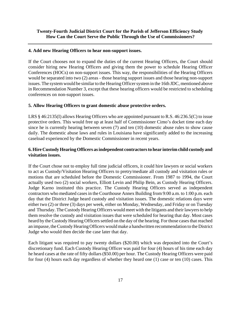#### **4. Add new Hearing Officers to hear non-support issues.**

If the Court chooses not to expand the duties of the current Hearing Officers, the Court should consider hiring new Hearing Officers and giving them the power to schedule Hearing Officer Conferences (HOCs) on non-support issues. This way, the responsibilities of the Hearing Officers would be separated into two (2) areas - those hearing support issues and those hearing non-support issues. The system would be similar to the Hearing Officer system in the 16th JDC, mentioned above in Recommendation Number 3, except that these hearing officers would be restricted to scheduling conferences on non-support issues.

#### **5. Allow Hearing Officers to grant domestic abuse protective orders.**

LRS § 46:2135(I) allows Hearing Officers who are appointed pursuant to R.S. 46:236.5(C) to issue protective orders. This would free up at least half of Commissioner Cimo's docket time each day since he is currently hearing between seven (7) and ten (10) domestic abuse rules to show cause daily. The domestic abuse laws and rules in Louisiana have significantly added to the increasing caseload experienced by the Domestic Commissioner in recent years.

# **6. Hire Custody Hearing Officers as independent contractors to hear interim child custody and visitation issues.**

If the Court chose not to employ full time judicial officers, it could hire lawyers or social workers to act as Custody/Visitation Hearing Officers to pretry/mediate all custody and visitation rules or motions that are scheduled before the Domestic Commissioner. From 1987 to 1994, the Court actually used two (2) social workers, Elliott Levin and Philip Bein, as Custody Hearing Officers. Judge Karno instituted this practice. The Custody Hearing Officers served as independent contractors who mediated cases in the Courthouse Annex Building from 9:00 a.m. to 1:00 p.m. each day that the District Judge heard custody and visitation issues. The domestic relations days were either two (2) or three (3) days per week, either on Monday, Wednesday, and Friday or on Tuesday and Thursday. The Custody Hearing Officers would meet with the litigants and their lawyers to help them resolve the custody and visitation issues that were scheduled for hearing that day. Most cases heard by the Custody Hearing Officers settled on the day of the hearing. For those cases that reached an impasse, the Custody Hearing Officers would make a handwritten recommendation to the District Judge who would then decide the case later that day.

Each litigant was required to pay twenty dollars (\$20.00) which was deposited into the Court's discretionary fund. Each Custody Hearing Officer was paid for four (4) hours of his time each day he heard cases at the rate of fifty dollars (\$50.00) per hour. The Custody Hearing Officers were paid for four (4) hours each day regardless of whether they heard one (1) case or ten (10) cases. This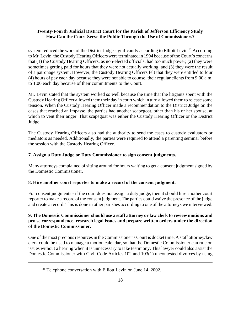system reduced the work of the District Judge significantly according to Elliott Levin.<sup>21</sup> According to Mr. Levin, the Custody Hearing Officers were terminated in 1994 because of the Court's concerns that (1) the Custody Hearing Officers, as non-elected officials, had too much power; (2) they were sometimes getting paid for hours that they were not actually working; and (3) they were the result of a patronage system. However, the Custody Hearing Officers felt that they were entitled to four (4) hours of pay each day because they were not able to counsel their regular clients from 9:00 a.m. to 1:00 each day because of their commitments to the Court.

Mr. Levin stated that the system worked so well because the time that the litigants spent with the Custody Hearing Officer allowed them their day in court which in turn allowed them to release some tension. When the Custody Hearing Officer made a recommendation to the District Judge on the cases that reached an impasse, the parties had another scapegoat, other than his or her spouse, at which to vent their anger. That scapegoat was either the Custody Hearing Officer or the District Judge.

The Custody Hearing Officers also had the authority to send the cases to custody evaluators or mediators as needed. Additionally, the parties were required to attend a parenting seminar before the session with the Custody Hearing Officer.

# **7. Assign a Duty Judge or Duty Commissioner to sign consent judgments.**

Many attorneys complained of sitting around for hours waiting to get a consent judgment signed by the Domestic Commissioner.

# **8. Hire another court reporter to make a record of the consent judgment.**

For consent judgments - if the court does not assign a duty judge, then it should hire another court reporter to make a record of the consent judgment. The parties could waive the presence of the judge and create a record. This is done in other parishes according to one of the attorneys we interviewed.

# **9. The Domestic Commissioner should use a staff attorney or law clerk to review motions and pro se correspondence, research legal issues and prepare written orders under the direction of the Domestic Commissioner.**

One of the most precious resources in the Commissioner's Court is docket time. A staff attorney/law clerk could be used to manage a motion calendar, so that the Domestic Commissioner can rule on issues without a hearing when it is unnecessary to take testimony. This lawyer could also assist the Domestic Commissioner with Civil Code Articles 102 and 103(1) uncontested divorces by using

 $21$  Telephone conversation with Elliott Levin on June 14, 2002.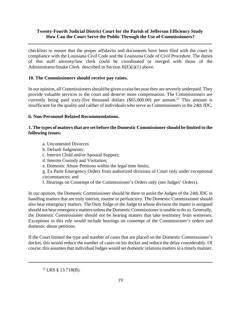checklists to ensure that the proper affidavits and documents have been filed with the court in compliance with the Louisiana Civil Code and the Louisiana Code of Civil Procedure. The duties of this staff attorney/law clerk could be coordinated or merged with those of the Administrator/Intake Clerk described in Section II(E)(i)(1) above.

# **10. The Commissioners should receive pay raises.**

In our opinion, all Commissioners should be given a raise because they are severely underpaid. They provide valuable services to the court and deserve more compensation. The Commissioners are currently being paid sixty-five thousand dollars  $(\$65,000.00)$  per annum.<sup>22</sup> This amount is insufficient for the quality and caliber of individuals who serve as Commissioners in the 24th JDC.

# **ii. Non-Personnel Related Recommendations.**

# **1. The types of matters that are set before the Domestic Commissioner should be limited to the following issues:**

- a. Uncontested Divorces
- b. Default Judgments;
- c. Interim Child and/or Spousal Support;
- d. Interim Custody and Visitation;
- e. Domestic Abuse Petitions within the legal time limits;

g. Ex Parte Emergency Orders from authorized divisions of Court only under exceptional circumstances; and

f. Hearings on Contempt of the Commissioner's Orders only (not Judges' Orders).

In our opinion, the Domestic Commissioner should be there to assist the Judges of the 24th JDC in handling matters that are truly interim, routine or perfunctory. The Domestic Commissioner should also hear emergency matters. The Duty Judge or the Judge to whose division the matter is assigned should not hear emergency matters unless the Domestic Commissioner is unable to do so. Generally, the Domestic Commissioner should not be hearing matters that take testimony from witnesses. Exceptions to this rule would include hearings on contempt of the Commissioner's orders and domestic abuse petitions.

If the Court limited the type and number of cases that are placed on the Domestic Commissioner's docket, this would reduce the number of cases on his docket and reduce the delay considerably. Of course, this assumes that individual Judges would set domestic relations matters in a timely manner.

 $^{22}$  LRS § 13:718(B).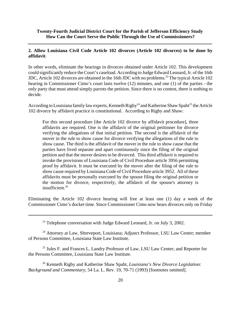## **2. Allow Louisiana Civil Code Article 102 divorces (Article 102 divorces) to be done by affidavit**.

In other words, eliminate the hearings in divorces obtained under Article 102. This development could significantly reduce the Court's caseload. According to Judge Edward Leonard, Jr. of the 16th JDC, Article 102 divorces are obtained in the 16th JDC with no problems.<sup>23</sup> The typical Article 102 hearing in Commissioner Cimo's court lasts twelve (12) minutes, and one (1) of the parties - the only party that must attend simply parrots the petition. Since there is no contest, there is nothing to decide.

According to Louisiana family law experts, Kenneth Rigby<sup>24</sup> and Katherine Shaw Spaht<sup>25</sup> the Article 102 divorce by affidavit practice is constitutional. According to Rigby and Shaw:

For this second procedure [the Article 102 divorce by affidavit procedure], three affidavits are required. One is the affidavit of the original petitioner for divorce verifying the allegations of that initial petition. The second is the affidavit of the mover in the rule to show cause for divorce verifying the allegations of the rule to show cause. The third is the affidavit of the mover in the rule to show cause that the parties have lived separate and apart continuously since the filing of the original petition and that the mover desires to be divorced. This third affidavit is required to invoke the provisions of Louisiana Code of Civil Procedure article 3956 permitting proof by affidavit. It must be executed by the mover after the filing of the rule to show cause required by Louisiana Code of Civil Procedure article 3952. All of these affidavits must be personally executed by the spouse filing the original petition or the motion for divorce, respectively; the affidavit of the spouse's attorney is insufficient.<sup>26</sup>

Eliminating the Article 102 divorce hearing will free at least one (1) day a week of the Commissioner Cimo's docket time. Since Commissioner Cimo now hears divorces only on Friday

 $^{23}$  Telephone conversation with Judge Edward Leonard, Jr. on July 3, 2002.

<sup>24</sup> Attorney at Law, Shreveport, Louisiana; Adjunct Professor, LSU Law Center; member of Persons Committee, Louisiana State Law Institute.

<sup>25</sup> Jules F. and Frances L. Landry Professor of Law, LSU Law Center; and Reporter for the Persons Committee, Louisiana State Law Institute.

26 Kenneth Rigby and Katherine Shaw Spaht, *Louisiana's New Divorce Legislation: Background and Commentary*, 54 La. L. Rev. 19, 70-71 (1993) [footnotes omitted].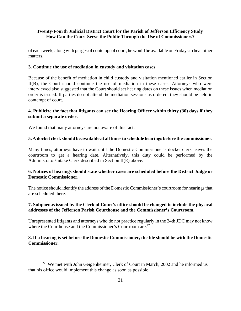of each week, along with purges of contempt of court, he would be available on Fridays to hear other matters.

#### **3. Continue the use of mediation in custody and visitation cases**.

Because of the benefit of mediation in child custody and visitation mentioned earlier in Section II(B), the Court should continue the use of mediation in these cases. Attorneys who were interviewed also suggested that the Court should set hearing dates on these issues when mediation order is issued. If parties do not attend the mediation sessions as ordered, they should be held in contempt of court.

## **4. Publicize the fact that litigants can see the Hearing Officer within thirty (30) days if they submit a separate order.**

We found that many attorneys are not aware of this fact.

#### **5. A docket clerk should be available at all times to schedule hearings before the commissioner.**

Many times, attorneys have to wait until the Domestic Commissioner's docket clerk leaves the courtroom to get a hearing date. Alternatively, this duty could be performed by the Administrator/Intake Clerk described in Section II(E) above.

## **6. Notices of hearings should state whether cases are scheduled before the District Judge or Domestic Commissioner.**

The notice should identify the address of the Domestic Commissioner's courtroom for hearings that are scheduled there.

## **7. Subpoenas issued by the Clerk of Court's office should be changed to include the physical addresses of the Jefferson Parish Courthouse and the Commissioner's Courtroom.**

Unrepresented litigants and attorneys who do not practice regularly in the 24th JDC may not know where the Courthouse and the Commissioner's Courtroom are.<sup>27</sup>

## **8. If a hearing is set before the Domestic Commissioner, the file should be with the Domestic Commissioner.**

 $27$  We met with John Geigenheimer, Clerk of Court in March, 2002 and he informed us that his office would implement this change as soon as possible.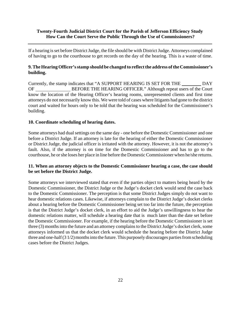If a hearing is set before District Judge, the file should be with District Judge. Attorneys complained of having to go to the courthouse to get records on the day of the hearing. This is a waste of time.

# **9. The Hearing Officer's stamp should be changed to reflect the address of the Commissioner's building.**

Currently, the stamp indicates that "A SUPPORT HEARING IS SET FOR THE DAY OF BEFORE THE HEARING OFFICER." Although repeat users of the Court know the location of the Hearing Officer's hearing rooms, unrepresented clients and first time attorneys do not necessarily know this. We were told of cases where litigants had gone to the district court and waited for hours only to be told that the hearing was scheduled for the Commissioner's building.

## **10. Coordinate scheduling of hearing dates.**

Some attorneys had dual settings on the same day - one before the Domestic Commissioner and one before a District Judge. If an attorney is late for the hearing of either the Domestic Commissioner or District Judge, the judicial officer is irritated with the attorney. However, it is not the attorney's fault. Also, if the attorney is on time for the Domestic Commissioner and has to go to the courthouse, he or she loses her place in line before the Domestic Commissioner when he/she returns.

## **11. When an attorney objects to the Domestic Commissioner hearing a case, the case should be set before the District Judge.**

Some attorneys we interviewed stated that even if the parties object to matters being heard by the Domestic Commissioner, the District Judge or the Judge's docket clerk would send the case back to the Domestic Commissioner. The perception is that some District Judges simply do not want to hear domestic relations cases. Likewise, if attorneys complain to the District Judge's docket clerks about a hearing before the Domestic Commissioner being set too far into the future, the perception is that the District Judge's docket clerk, in an effort to aid the Judge's unwillingness to hear the domestic relations matter, will schedule a hearing date that is much later than the date set before the Domestic Commissioner. For example, if the hearing before the Domestic Commissioner is set three (3) months into the future and an attorney complains to the District Judge's docket clerk, some attorneys informed us that the docket clerk would schedule the hearing before the District Judge three and one-half (3 1/2) months into the future. This purposely discourages parties from scheduling cases before the District Judges.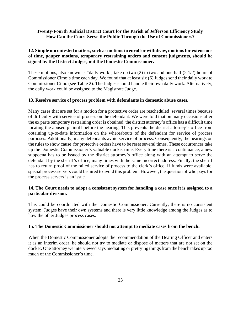# **12. Simple uncontested matters, such as motions to enroll or withdraw, motions for extensions of time, pauper motions, temporary restraining orders and consent judgments, should be signed by the District Judges, not the Domestic Commissioner.**

These motions, also known as "daily work", take up two (2) to two and one-half (2 1/2) hours of Commissioner Cimo's time each day. We found that at least six (6) Judges send their daily work to Commissioner Cimo (see Table 2). The Judges should handle their own daily work. Alternatively, the daily work could be assigned to the Magistrate Judge.

# **13. Resolve service of process problem with defendants in domestic abuse cases.**

Many cases that are set for a motion for a protective order are rescheduled several times because of difficulty with service of process on the defendant. We were told that on many occasions after the ex parte temporary restraining order is obtained, the district attorney's office has a difficult time locating the abused plaintiff before the hearing. This prevents the district attorney's office from obtaining up-to-date information on the whereabouts of the defendant for service of process purposes. Additionally, many defendants avoid service of process. Consequently, the hearings on the rules to show cause for protective orders have to be reset several times. These occurrences take up the Domestic Commissioner's valuable docket time. Every time there is a continuance, a new subpoena has to be issued by the district attorney's office along with an attempt to serve the defendant by the sheriff's office, many times with the same incorrect address. Finally, the sheriff has to return proof of the failed service of process to the clerk's office. If funds were available, special process servers could be hired to avoid this problem. However, the question of who pays for the process servers is an issue.

## **14. The Court needs to adopt a consistent system for handling a case once it is assigned to a particular division.**

This could be coordinated with the Domestic Commissioner. Currently, there is no consistent system. Judges have their own systems and there is very little knowledge among the Judges as to how the other Judges process cases.

#### **15. The Domestic Commissioner should not attempt to mediate cases from the bench.**

When the Domestic Commissioner adopts the recommendation of the Hearing Officer and enters it as an interim order, he should not try to mediate or dispose of matters that are not set on the docket. One attorney we interviewed says mediating or pretrying things from the bench takes up too much of the Commissioner's time.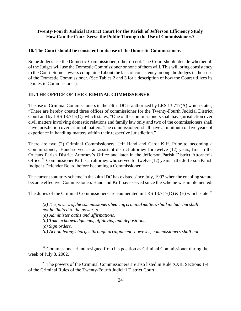#### **16. The Court should be consistent in its use of the Domestic Commissioner.**

Some Judges use the Domestic Commissioner; other do not. The Court should decide whether all of the Judges will use the Domestic Commissioner or none of them will. This will bring consistency to the Court. Some lawyers complained about the lack of consistency among the Judges in their use of the Domestic Commissioner. (See Tables 2 and 3 for a description of how the Court utilizes its Domestic Commissioner).

## **III. THE OFFICE OF THE CRIMINAL COMMISSIONER**

The use of Criminal Commissioners in the 24th JDC is authorized by LRS 13:717(A) which states, "There are hereby created three offices of commissioner for the Twenty-Fourth Judicial District Court and by LRS 13:717(C), which states, "One of the commissioners shall have jurisdiction over civil matters involving domestic relations and family law only and two of the commissioners shall have jurisdiction over criminal matters. The commissioners shall have a minimum of five years of experience in handling matters within their respective jurisdiction."

There are two (2) Criminal Commissioners, Jeff Hand and Carol Kiff. Prior to becoming a Commissioner, Hand served as an assistant district attorney for twelve (12) years, first in the Orleans Parish District Attorney's Office and later in the Jefferson Parish District Attorney's Office.28 Commissioner Kiff is an attorney who served for twelve (12) years in the Jefferson Parish Indigent Defender Board before becoming a Commissioner.

The current statutory scheme in the 24th JDC has existed since July, 1997 when the enabling statute became effective. Commissioners Hand and Kiff have served since the scheme was implemented.

The duties of the Criminal Commissioners are enumerated in LRS 13:717(D) & (E) which state:<sup>29</sup>

*(2) The powers of the commissioners hearing criminal matters shall include but shall not be limited to the power to: (a) Administer oaths and affirmations. (b) Take acknowledgments, affidavits, and depositions. (c) Sign orders. (d) Act on felony charges through arraignment; however, commissioners shall not*

<sup>28</sup> Commissioner Hand resigned from his position as Criminal Commissioner during the week of July 8, 2002.

 $29$  The powers of the Criminal Commissioners are also listed in Rule XXII, Sections 1-4 of the Criminal Rules of the Twenty-Fourth Judicial District Court.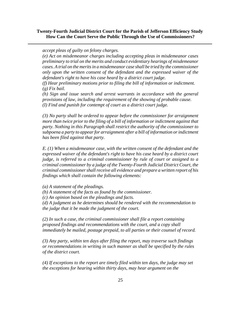#### *accept pleas of guilty on felony charges.*

*(e) Act on misdemeanor charges including accepting pleas in misdemeanor cases preliminary to trial on the merits and conduct evidentiary hearings of misdemeanor cases. A trial on the merits in a misdemeanor case shall be tried by the commissioner only upon the written consent of the defendant and the expressed waiver of the defendant's right to have his case heard by a district court judge.*

*(f) Hear preliminary motions prior to filing the bill of information or indictment. (g) Fix bail.*

*(h) Sign and issue search and arrest warrants in accordance with the general provisions of law, including the requirement of the showing of probable cause. (I) Find and punish for contempt of court as a district court judge.*

*(3) No party shall be ordered to appear before the commissioner for arraignment more than twice prior to the filing of a bill of information or indictment against that party. Nothing in this Paragraph shall restrict the authority of the commissioner to subpoena a party to appear for arraignment after a bill of information or indictment has been filed against that party.*

*E. (1) When a misdemeanor case, with the written consent of the defendant and the expressed waiver of the defendant's right to have his case heard by a district court judge, is referred to a criminal commissioner by rule of court or assigned to a criminal commissioner by a judge of the Twenty-Fourth Judicial District Court, the criminal commissioner shall receive all evidence and prepare a written report of his findings which shall contain the following elements:*

*(a) A statement of the pleadings.*

*(b) A statement of the facts as found by the commissioner.*

*(c) An opinion based on the pleadings and facts.*

*(d) A judgment as he determines should be rendered with the recommendation to the judge that it be made the judgment of the court.*

*(2) In such a case, the criminal commissioner shall file a report containing proposed findings and recommendations with the court, and a copy shall immediately be mailed, postage prepaid, to all parties or their counsel of record.*

*(3) Any party, within ten days after filing the report, may traverse such findings or recommendations in writing in such manner as shall be specified by the rules of the district court.*

*(4) If exceptions to the report are timely filed within ten days, the judge may set the exceptions for hearing within thirty days, may hear argument on the*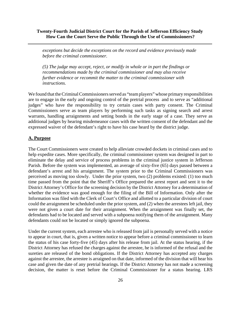*exceptions but decide the exceptions on the record and evidence previously made before the criminal commissioner.*

*(5) The judge may accept, reject, or modify in whole or in part the findings or recommendations made by the criminal commissioner and may also receive further evidence or recommit the matter to the criminal commissioner with instructions.*

We found that the Criminal Commissioners served as "team players" whose primary responsibilities are to engage in the early and ongoing control of the pretrial process and to serve as "additional judges" who have the responsibility to try certain cases with party consent. The Criminal Commissioners serve as team players by performing such tasks as signing search and arrest warrants, handling arraignments and setting bonds in the early stage of a case. They serve as additional judges by hearing misdemeanor cases with the written consent of the defendant and the expressed waiver of the defendant's right to have his case heard by the district judge.

#### **A. Purpose**

The Court Commissioners were created to help alleviate crowded dockets in criminal cases and to help expedite cases. More specifically, the criminal commissioner system was designed in part to eliminate the delay and service of process problems in the criminal justice system in Jefferson Parish. Before the system was implemented, an average of sixty-five (65) days passed between a defendant's arrest and his arraignment. The system prior to the Criminal Commissioners was perceived as moving too slowly. Under the prior system, two (2) problems existed: (1) too much time passed from the point that the Sheriff's Office prepared the arrest report and sent it to the District Attorney's Office for the screening decision by the District Attorney for a determination of whether the evidence was good enough for the filing of the Bill of Information. Only after the Information was filed with the Clerk of Court's Office and allotted to a particular division of court could the arraignment be scheduled under the prior system, and (2) when the arrestees left jail, they were not given a court date for their arraignment. When the arraignment was finally set, the defendants had to be located and served with a subpoena notifying them of the arraignment. Many defendants could not be located or simply ignored the subpoena.

Under the current system, each arrestee who is released from jail is personally served with a notice to appear in court, that is, given a written notice to appear before a criminal commissioner to learn the status of his case forty-five (45) days after his release from jail. At the status hearing, if the District Attorney has refused the charges against the arrestee, he is informed of the refusal and the sureties are released of the bond obligations. If the District Attorney has accepted any charges against the arrestee, the arrestee is arraigned on that date, informed of the division that will hear his case and given the date of any pretrial hearings. If the District Attorney has not made a screening decision, the matter is reset before the Criminal Commissioner for a status hearing. LRS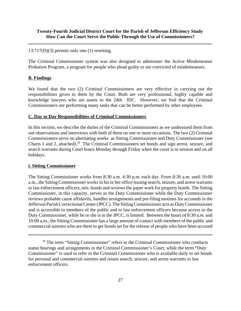#### 13:717(D)(3) permits only one (1) resetting.

The Criminal Commissioner system was also designed to administer the Active Misdemeanor Probation Program, a program for people who plead guilty or are convicted of misdemeanors.

#### **B. Findings**

We found that the two (2) Criminal Commissioners are very effective in carrying out the responsibilities given to them by the Court. Both are very professional, highly capable and knowledge lawyers who are assets to the 24th JDC. However, we find that the Criminal Commissioners are performing many tasks that can be better performed by other employees.

#### **C. Day to Day Responsibilities of Criminal Commissioners**

In this section, we describe the duties of the Criminal Commissioners as we understand them from our observations and interviews with both of them on one or more occasions. The two (2) Criminal Commissioners serve on alternating weeks as Sitting Commissioner and Duty Commissioner (see Charts 1 and 2, attached).<sup>30</sup> The Criminal Commissioners set bonds and sign arrest, seizure, and search warrants during Court hours Monday through Friday when the court is in session and on all holidays.

#### **i. Sitting Commissioner**

The Sitting Commissioner works from 8:30 a.m. 4:30 p.m. each day. From 8:30 a.m. until 10:00 a.m., the Sitting Commissioner works in his or her office issuing search, seizure, and arrest warrants to law enforcement officers, sets bonds and reviews the paper work for property bonds. The Sitting Commissioner, in this capacity, serves as the Duty Commissioner while the Duty Commissioner reviews probable cause affidavits, handles arraignments and pre-filing motions for accuseds in the Jefferson Parish Correctional Center (JPCC). The Sitting Commissioner acts as Duty Commissioner and is accessible to members of the public and to law enforcement officers because access to the Duty Commissioner, while he or she is in the JPCC, is limited. Between the hours of 8:30 a.m. and 10:00 a.m., the Sitting Commissioner has a large amount of contact with members of the public and commercial sureties who are there to get bonds set for the release of people who have been accused

<sup>&</sup>lt;sup>30</sup> The term "Sitting Commissioner" refers to the Criminal Commissioner who conducts status hearings and arraignments in the Criminal Commissioner's Court, while the term "Duty Commissioner" is used to refer to the Criminal Commissioner who is available daily to set bonds for personal and commercial sureties and issues search, seizure, and arrest warrants to law enforcement officers.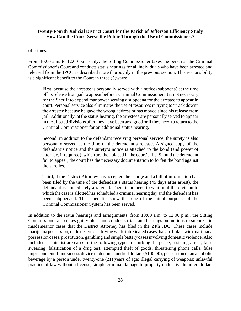#### of crimes.

From 10:00 a.m. to 12:00 p.m. daily, the Sitting Commissioner takes the bench at the Criminal Commissioner's Court and conducts status hearings for all individuals who have been arrested and released from the JPCC as described more thoroughly in the previous section. This responsibility is a significant benefit to the Court in three (3)ways:

First, because the arrestee is personally served with a notice (subpoena) at the time of his release from jail to appear before a Criminal Commissioner, it is not necessary for the Sheriff to expend manpower serving a subpoena for the arrestee to appear in court. Personal service also eliminates the use of resources in trying to "track down" the arrestee because he gave the wrong address or has moved since his release from jail. Additionally, at the status hearing, the arrestees are personally served to appear in the allotted divisions after they have been arraigned or if they need to return to the Criminal Commissioner for an additional status hearing.

Second, in addition to the defendant receiving personal service, the surety is also personally served at the time of the defendant's release. A signed copy of the defendant's notice and the surety's notice is attached to the bond (and power of attorney, if required), which are then placed in the court's file. Should the defendant fail to appear, the court has the necessary documentation to forfeit the bond against the sureties.

Third, if the District Attorney has accepted the charge and a bill of information has been filed by the time of the defendant's status hearing (45 days after arrest), the defendant is immediately arraigned. There is no need to wait until the division to which the case is allotted has scheduled a criminal hearing day and the defendant has been subpoenaed. These benefits show that one of the initial purposes of the Criminal Commissioner System has been served.

In addition to the status hearings and arraignments, from 10:00 a.m. to 12:00 p.m., the Sitting Commissioner also takes guilty pleas and conducts trials and hearings on motions to suppress in misdemeanor cases that the District Attorney has filed in the 24th JDC. These cases include marijuana possession, child desertion, driving while intoxicated cases that are linked with marijuana possession cases, prostitution, gambling and simple battery cases involving domestic violence. Also included in this list are cases of the following types: disturbing the peace; resisting arrest; false swearing; falsification of a drug test; attempted theft of goods; threatening phone calls; false imprisonment; fraud/access device under one hundred dollars (\$100.00); possession of an alcoholic beverage by a person under twenty-one (21) years of age; illegal carrying of weapons; unlawful practice of law without a license; simple criminal damage to property under five hundred dollars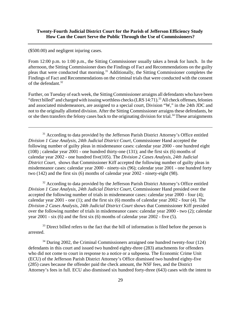(\$500.00) and negligent injuring cases.

From 12:00 p.m. to 1:00 p.m., the Sitting Commissioner usually takes a break for lunch. In the afternoon, the Sitting Commissioner does the Findings of Fact and Recommendations on the guilty pleas that were conducted that morning.<sup>31</sup> Additionally, the Sitting Commissioner completes the Findings of Fact and Recommendations on the criminal trials that were conducted with the consent of the defendant. $32$ 

Further, on Tuesday of each week, the Sitting Commissioner arraigns all defendants who have been "direct billed" and charged with issuing worthless checks  $(LRS 14:71)$ .<sup>33</sup> All check offenses, felonies and associated misdemeanors, are assigned to a special court, Division "W," in the 24th JDC and not to the originally allotted division. After the Sitting Commissioner arraigns these defendants, he or she then transfers the felony cases back to the originating division for trial.<sup>34</sup> These arraignments

<sup>31</sup> According to data provided by the Jefferson Parish District Attorney's Office entitled *Division 1 Case Analysis, 24th Judicial District Court*, Commissioner Hand accepted the following number of guilty pleas in misdemeanor cases: calendar year 2000 - one hundred eight (108) ; calendar year 2001 - one hundred thirty-one (131); and the first six (6) months of calendar year 2002 - one hundred five(105). The *Division 2 Cases Analysis*, *24th Judicial District Court*, shows that Commissioner Kiff accepted the following number of guilty pleas in misdemeanor cases: calendar year 2000 - ninety-six (96); calendar year 2001 - one hundred forty two (142) and the first six (6) months of calendar year 2002 - ninety-eight (98).

 $32$  According to data provided by the Jefferson Parish District Attorney's Office entitled *Division 1 Case Analysis, 24th Judicial District Court*, Commissioner Hand presided over the accepted the following number of trials in misdemeanor cases: calendar year 2000 - four (4); calendar year 2001 - one (1); and the first six (6) months of calendar year 2002 - four (4). The *Division 2 Cases Analysis*, *24th Judicial District Court* shows that Commissioner Kiff presided over the following number of trials in misdemeanor cases: calendar year 2000 - two (2); calendar year 2001 - six (6) and the first six (6) months of calendar year 2002 - five (5).

 $33$  Direct billed refers to the fact that the bill of information is filed before the person is arrested.

 $34$  During 2002, the Criminal Commissioners arraigned one hundred twenty-four (124) defendants in this court and issued two hundred eighty-three (283) attachments for offenders who did not come to court in response to a notice or a subpoena. The Economic Crime Unit (ECU) of the Jefferson Parish District Attorney's Office dismissed two hundred eighty-five (285) cases because the offender paid the check amount, the NSF fees, and the District Attorney's fees in full. ECU also dismissed six hundred forty-three (643) cases with the intent to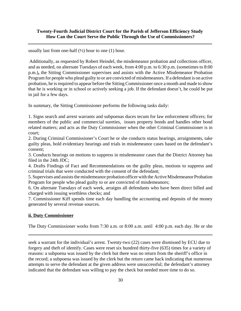usually last from one-half  $(\frac{1}{2})$  hour to one (1) hour.

 Additionally, as requested by Robert Heindel, the misdemeanor probation and collections officer, and as needed, on alternate Tuesdays of each week, from 4:00 p.m. to 6:30 p.m. (sometimes to 8:00 p.m.)**,** the Sitting Commissioner supervises and assists with the Active Misdemeanor Probation Program for people who plead guilty to or are convicted of misdemeanors. If a defendant is on active probation, he is required to appear before the Sitting Commissioner once a month and made to show that he is working or in school or actively seeking a job. If the defendant doesn't, he could be put in jail for a few days.

In summary, the Sitting Commissioner performs the following tasks daily:

1. Signs search and arrest warrants and subpoenas duces tecum for law enforcement officers; for members of the public and commercial sureties, issues property bonds and handles other bond related matters; and acts as the Duty Commissioner when the other Criminal Commissioner is in court;

2. During Criminal Commissioner's Court he or she conducts status hearings, arraignments, take guilty pleas, hold evidentiary hearings and trials in misdemeanor cases based on the defendant's consent;

3. Conducts hearings on motions to suppress in misdemeanor cases that the District Attorney has filed in the 24th JDC;

4. Drafts Findings of Fact and Recommendations on the guilty pleas, motions to suppress and criminal trials that were conducted with the consent of the defendant;

5. Supervises and assists the misdemeanor probation officer with the Active Misdemeanor Probation Program for people who plead guilty to or are convicted of misdemeanors;

6. On alternate Tuesdays of each week, arraigns all defendants who have been direct billed and charged with issuing worthless checks; and

7. Commissioner Kiff spends time each day handling the accounting and deposits of the money generated by several revenue sources.

#### **ii. Duty Commissioner**

The Duty Commissioner works from 7:30 a.m. or 8:00 a.m. until 4:00 p.m. each day. He or she

seek a warrant for the individual's arrest. Twenty-two (22) cases were dismissed by ECU due to forgery and theft of identify. Cases were reset six hundred thirty-five (635) times for a variety of reasons: a subpoena was issued by the clerk but there was no return from the sheriff's office in the record; a subpoena was issued by the clerk but the return came back indicating that numerous attempts to serve the defendant at the given address were unsuccessful; the defendant's attorney indicated that the defendant was willing to pay the check but needed more time to do so.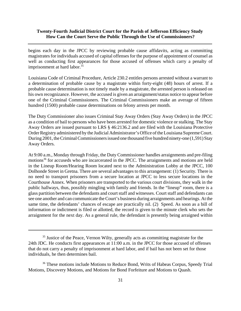begins each day in the JPCC by reviewing probable cause affidavits, acting as committing magistrates for individuals accused of capital offenses for the purpose of appointment of counsel as well as conducting first appearances for those accused of offenses which carry a penalty of imprisonment at hard labor.<sup>35</sup>

Louisiana Code of Criminal Procedure, Article 230.2 entitles persons arrested without a warrant to a determination of probable cause by a magistrate within forty-eight (48) hours of arrest. If a probable cause determination is not timely made by a magistrate, the arrested person is released on his own recognizance. However, the accused is given an arraignment/status notice to appear before one of the Criminal Commissioners. The Criminal Commissioners make an average of fifteen hundred (1500) probable cause determinations on felony arrests per month.

The Duty Commissioner also issues Criminal Stay Away Orders (Stay Away Orders) in the JPCC as a condition of bail to persons who have been arrested for domestic violence or stalking. The Stay Away Orders are issued pursuant to LRS § 46:2136.2 and are filed with the Louisiana Protective Order Registry administered by the Judicial Administrator's Office of the Louisiana Supreme Court. During 2001, the Criminal Commissioners issued one thousand five hundred ninety-one (1,591) Stay Away Orders.

At 9:00 a.m., Monday through Friday, the Duty Commissioner handles arraignments and pre-filing motions<sup>36</sup> for accuseds who are incarcerated in the JPCC. The arraignments and motions are held in the Lineup Room/Hearing Room located next to the Administration Lobby at the JPCC, 100 Dolhonde Street in Gretna. There are several advantages to this arrangement: (1) Security*.* There is no need to transport prisoners from a secure location at JPCC to less secure locations in the Courthouse Annex. When prisoners are transported to the various court divisions, they walk in the public hallways, thus, possibly mingling with family and friends. In the "lineup" room, there is a glass partition between the defendants and court staff and witnesses. Court staff and defendants can see one another and can communicate the Court's business during arraignments and hearings. At the same time, the defendants' chances of escape are practically nil. (2) Speed. As soon as a bill of information or indictment is filed or allotted, the record is given to the minute clerk who sets the arraignment for the next day. As a general rule, the defendant is presently being arraigned within

<sup>&</sup>lt;sup>35</sup> Justice of the Peace, Vernon Wilty, generally acts as committing magistrate for the 24th JDC. He conducts first appearances at 11:00 a.m. in the JPCC for those accused of offenses that do not carry a penalty of imprisonment at hard labor, and if bail has not been set for those individuals, he then determines bail.

<sup>&</sup>lt;sup>36</sup> These motions include Motions to Reduce Bond, Writs of Habeas Corpus, Speedy Trial Motions, Discovery Motions, and Motions for Bond Forfeiture and Motions to Quash.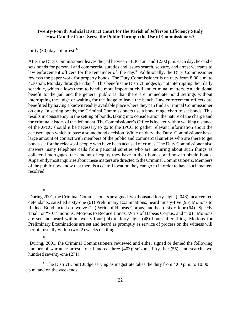thirty (30) days of arrest. $37$ 

After the Duty Commissioner leaves the jail between 11:30 a.m. and 12:00 p.m. each day, he or she sets bonds for personal and commercial sureties and issues search, seizure, and arrest warrants to law enforcement officers for the remainder of the day.<sup>38</sup> Additionally, the Duty Commissioner reviews the paper work for property bonds. The Duty Commissioner is on duty from 8:00 a.m. to 4:30 p.m. Monday through Friday.<sup>39</sup> This benefits the District Judges by not interrupting their daily schedule, which allows them to handle more important civil and criminal matters. An additional benefit to the jail and the general public is that there are immediate bond settings without interrupting the judge or waiting for the Judge to leave the bench. Law enforcement officers are benefitted by having a known readily available place where they can find a Criminal Commissioner on duty. In setting bonds, the Criminal Commissioners use a bond range chart to set bonds. This results in consistency in the setting of bonds, taking into consideration the nature of the charge and the criminal history of the defendant. The Commissioner's Office is located within walking distance of the JPCC should it be necessary to go to the JPCC to gather relevant information about the accused upon which to base a sound bond decision. While on duty, the Duty Commissioner has a large amount of contact with members of the public and commercial sureties who are there to get bonds set for the release of people who have been accused of crimes. The Duty Commissioner also answers many telephone calls from personal sureties who are inquiring about such things as collateral mortgages, the amount of equity they have in their homes, and how to obtain bonds. Apparently most inquiries about these matters are directed to the Criminal Commissioners. Members of the public now know that there is a central location they can go to in order to have such matters resolved.

37

<sup>39</sup> The District Court Judge serving as magistrate takes the duty from 4:00 p.m. to  $10:00$ p.m. and on the weekends.

During 2001, the Criminal Commissioners arraigned two thousand forty-eight (2048) incarcerated defendants, satisfied sixty-one (61) Preliminary Examinations, heard ninety-five (95) Motions to Reduce Bond, acted on twelve (12) Writs of Habeas Corpus, and heard sixty-four (64) "Speedy Trial" or "701" motions. Motions to Reduce Bonds, Writs of Habeas Corpus, and "701" Motions are set and heard within twenty-four (24) to forty-eight (48) hours after filing. Motions for Preliminary Examinations are set and heard as promptly as service of process on the witness will permit, usually within two (2) weeks of filing.

<sup>38</sup>

During, 2001, the Criminal Commissioners reviewed and either signed or denied the following number of warrants: arrest, four hundred three (403); seizure, fifty-five (55); and search, two hundred seventy-one (271).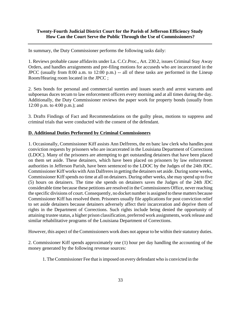In summary, the Duty Commissioner performs the following tasks daily:

1. Reviews probable cause affidavits under La. C.Cr.Proc., Art. 230.2, issues Criminal Stay Away Orders, and handles arraignments and pre-filing motions for accuseds who are incarcerated in the JPCC (usually from 8:00 a.m. to 12:00 p.m.) -- all of these tasks are performed in the Lineup Room/Hearing room located in the JPCC ;

2. Sets bonds for personal and commercial sureties and issues search and arrest warrants and subpoenas duces tecum to law enforcement officers every morning and at all times during the day. Additionally, the Duty Commissioner reviews the paper work for property bonds (usually from 12:00 p.m. to 4:00 p.m.); and

3. Drafts Findings of Fact and Recommendations on the guilty pleas, motions to suppress and criminal trials that were conducted with the consent of the defendant.

#### **D. Additional Duties Performed by Criminal Commissioners**

1. Occasionally, Commissioner Kiff assists Ann Delfreres, the en banc law clerk who handles post conviction requests by prisoners who are incarcerated in the Louisiana Department of Corrections (LDOC). Many of the prisoners are attempting to get outstanding detainers that have been placed on them set aside. These detainers, which have been placed on prisoners by law enforcement authorities in Jefferson Parish, have been sentenced to the LDOC by the Judges of the 24th JDC. Commissioner Kiff works with Ann Dalfreres in getting the detainers set aside. During some weeks, Commissioner Kiff spends no time at all on detainers. During other weeks, she may spend up to five (5) hours on detainers. The time she spends on detainers saves the Judges of the 24th JDC considerable time because these petitions are resolved in the Commissioners Office, never reaching the specific divisions of court. Consequently, no docket number is assigned to these matters because Commissioner Kiff has resolved them. Prisoners usually file applications for post conviction relief to set aside detainers because detainers adversely affect their incarceration and deprive them of rights in the Department of Corrections. Such rights include being denied the opportunity of attaining trustee status, a higher prison classification, preferred work assignments, work release and similar rehabilitative programs of the Louisiana Department of Corrections.

However, this aspect of the Commissioners work does not appear to be within their statutory duties.

2. Commissioner Kiff spends approximately one (1) hour per day handling the accounting of the money generated by the following revenue sources:

1. The Commissioner Fee that is imposed on every defendant who is convicted in the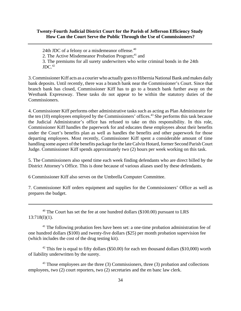24th JDC of a felony or a misdemeanor offense.<sup>40</sup>

2. The Active Misdemeanor Probation Program;<sup>41</sup> and

3. The premiums for all surety underwriters who write criminal bonds in the 24th  $JDC.<sup>42</sup>$ 

3. Commissioner Kiff acts as a courier who actually goes to Hibernia National Bank and makes daily bank deposits. Until recently, there was a branch bank near the Commissioner's Court. Since that branch bank has closed, Commissioner Kiff has to go to a branch bank further away on the Westbank Expressway. These tasks do not appear to be within the statutory duties of the Commissioners.

4. Commissioner Kiff performs other administrative tasks such as acting as Plan Administrator for the ten  $(10)$  employees employed by the Commissioners' offices.<sup>43</sup> She performs this task because the Judicial Administrator's office has refused to take on this responsibility. In this role, Commissioner Kiff handles the paperwork for and educates these employees about their benefits under the Court's benefits plan as well as handles the benefits and other paperwork for those departing employees. Most recently, Commissioner Kiff spent a considerable amount of time handling some aspect of the benefits package for the late Calvin Hotard, former Second Parish Court Judge. Commissioner Kiff spends approximately two (2) hours per week working on this task.

5. The Commissioners also spend time each week finding defendants who are direct billed by the District Attorney's Office. This is done because of various aliases used by these defendants.

6 Commissioner Kiff also serves on the Umbrella Computer Committee.

7. Commissioner Kiff orders equipment and supplies for the Commissioners' Office as well as prepares the budget.

 $40$  The Court has set the fee at one hundred dollars (\$100.00) pursuant to LRS  $13:718(I)(1)$ .

<sup>41</sup> The following probation fees have been set: a one-time probation administration fee of one hundred dollars (\$100) and twenty-five dollars (\$25) per month probation supervision fee (which includes the cost of the drug testing kit).

 $42$  This fee is equal to fifty dollars (\$50.00) for each ten thousand dollars (\$10,000) worth of liability underwritten by the surety.

 $43$  Those employees are the three (3) Commissioners, three (3) probation and collections employees, two (2) court reporters, two (2) secretaries and the en banc law clerk.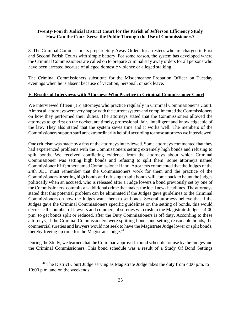8. The Criminal Commissioners prepare Stay Away Orders for arrestees who are charged in First and Second Parish Courts with simple battery. For some reason, the system has developed where the Criminal Commissioners are called on to prepare criminal stay away orders for all persons who have been arrested because of alleged domestic violence or alleged stalking.

The Criminal Commissioners substitute for the Misdemeanor Probation Officer on Tuesday evenings when he is absent because of vacation, personal, or sick leave.

#### **E. Results of Interviews with Attorneys Who Practice in Criminal Commissioner Court**

We interviewed fifteen (15) attorneys who practice regularly in Criminal Commissioner's Court. Almost all attorneys were very happy with the current system and complimented the Commissioners on how they performed their duties. The attorneys stated that the Commissioners allowed the attorneys to go first on the docket, are timely, professional, fair, intelligent and knowledgeable of the law. They also stated that the system saves time and it works well. The members of the Commissioners support staff are extraordinarily helpful according to those attorneys we interviewed.

One criticism was made by a few of the attorneys interviewed. Some attorneys commented that they had experienced problems with the Commissioners setting extremely high bonds and refusing to split bonds. We received conflicting evidence from the attorneys about which Criminal Commissioner was setting high bonds and refusing to split them: some attorneys named Commissioner Kiff; other named Commissioner Hand. Attorneys commented that the Judges of the 24th JDC must remember that the Commissioners work for them and the practice of the Commissioners in setting high bonds and refusing to split bonds will come back to haunt the judges politically when an accused, who is released after a Judge lowers a bond previously set by one of the Commissioners, commits an additional crime that makes the local news headlines. The attorneys stated that this potential problem can be eliminated if the Judges gave guidelines to the Criminal Commissioners on how the Judges want them to set bonds. Several attorneys believe that if the Judges gave the Criminal Commissioners specific guidelines on the setting of bonds, this would decrease the number of lawyers and commercial sureties who rush to the Magistrate Judge at 4:00 p.m. to get bonds split or reduced, after the Duty Commissioners is off duty. According to these attorneys, if the Criminal Commissioners were splitting bonds and setting reasonable bonds, the commercial sureties and lawyers would not seek to have the Magistrate Judge lower or split bonds, thereby freeing up time for the Magistrate Judge.<sup>44</sup>

During the Study, we learned that the Court had approved a bond schedule for use by the Judges and the Criminal Commissioners. This bond schedule was a result of a Study Of Bond Settings

 $44$  The District Court Judge serving as Magistrate Judge takes the duty from 4:00 p.m. to 10:00 p.m. and on the weekends.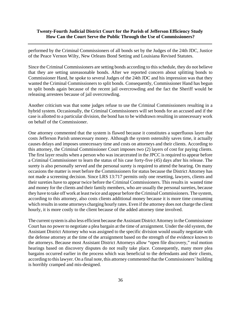performed by the Criminal Commissioners of all bonds set by the Judges of the 24th JDC, Justice of the Peace Vernon Wilty, New Orleans Bond Setting and Louisiana Revised Statutes.

Since the Criminal Commissioners are setting bonds according to this schedule, they do not believe that they are setting unreasonable bonds. After we reported concern about splitting bonds to Commissioner Hand, he spoke to several Judges of the 24th JDC and his impression was that they wanted the Criminal Commissioners to split bonds. Consequently, Commissioner Hand has begun to split bonds again because of the recent jail overcrowding and the fact the Sheriff would be releasing arrestees because of jail overcrowding.

Another criticism was that some judges refuse to use the Criminal Commissioners resulting in a hybrid system. Occasionally, the Criminal Commissioners will set bonds for an accused and if the case is allotted to a particular division, the bond has to be withdrawn resulting in unnecessary work on behalf of the Commissioner.

One attorney commented that the system is flawed because it constitutes a superfluous layer that costs Jefferson Parish unnecessary money. Although the system ostensibly saves time, it actually causes delays and imposes unnecessary time and costs on attorneys and their clients. According to this attorney, the Criminal Commissioner Court imposes two (2) layers of cost for paying clients. The first layer results when a person who was incarcerated in the JPCC is required to appear before a Criminal Commissioner to learn the status of his case forty-five (45) days after his release. The surety is also personally served and the personal surety is required to attend the hearing. On many occasions the matter is reset before the Commissioners for status because the District Attorney has not made a screening decision. Since LRS 13:717 permits only one resetting, lawyers, clients and their sureties have to appear twice before the Criminal Commissioners. This results in wasted time and money for the clients and their family members, who are usually the personal sureties, because they have to take off work at least twice and appear before the Criminal Commissioners. The system, according to this attorney, also costs clients additional money because it is more time consuming which results in some attorneys charging hourly rates. Even if the attorney does not charge the client hourly, it is more costly to the client because of the added attorney time involved.

The current system is also less efficient because the Assistant District Attorney in the Commissioner Court has no power to negotiate a plea bargain at the time of arraignment. Under the old system, the Assistant District Attorney who was assigned to the specific division would usually negotiate with the defense attorney at the time of the arraignment based on the strength of the evidence known to the attorneys. Because most Assistant District Attorneys allow "open file discovery," real motion hearings based on discovery disputes do not really take place. Consequently, many more plea bargains occurred earlier in the process which was beneficial to the defendants and their clients, according to this lawyer. On a final note, this attorney commented that the Commissioners' building is horribly cramped and mis-designed.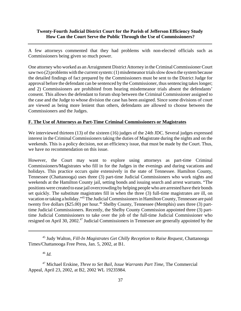A few attorneys commented that they had problems with non-elected officials such as Commissioners being given so much power.

One attorney who worked as an Arraignment District Attorney in the Criminal Commissioner Court saw two (2) problems with the current system: (1) misdemeanor trials slow down the system because the detailed findings of fact prepared by the Commissioners must be sent to the District Judge for approval before the defendant can be sentenced by the Commissioner, thus sentencing takes longer; and 2) Commissioners are prohibited from hearing misdemeanor trials absent the defendants' consent. This allows the defendant to forum shop between the Criminal Commissioner assigned to the case and the Judge to whose division the case has been assigned. Since some divisions of court are viewed as being more lenient than others, defendants are allowed to choose between the Commissioners and the Judges.

#### **F. The Use of Attorneys as Part-Time Criminal Commissioners or Magistrates**

We interviewed thirteen (13) of the sixteen (16) judges of the 24th JDC. Several judges expressed interest in the Criminal Commissioners taking the duties of Magistrate during the nights and on the weekends. This is a policy decision, not an efficiency issue, that must be made by the Court. Thus, we have no recommendation on this issue.

However, the Court may want to explore using attorneys as part-time Criminal Commissioners/Magistrates who fill in for the Judges in the evenings and during vacations and holidays. This practice occurs quite extensively in the state of Tennessee. Hamilton County, Tennessee (Chattanooga) uses three (3) part-time Judicial Commissioners who work nights and weekends at the Hamilton County jail, setting bonds and issuing search and arrest warrants. "The positions were created to ease jail overcrowding by helping people who are arrested have their bonds set quickly. The substitute magistrates fill in when the three (3) full-time magistrates are ill, on vacation or taking a holiday."45 The Judicial Commissioners in Hamilton County, Tennessee are paid twenty five dollars (\$25.00) per hour.<sup>46</sup> Shelby County, Tennessee (Memphis) uses three (3) parttime Judicial Commissioners. Recently, the Shelby County Commission appointed three (3) parttime Judicial Commissioners to take over the job of the full-time Judicial Commissioner who resigned on April 30, 2002.<sup>47</sup> Judicial Commissioners in Tennessee are generally appointed by the

<sup>45</sup> Judy Walton, *Fill-In Magistrates Get Chilly Reception to Raise Request,* Chattanooga Times/Chattanooga Free Press, Jan. 5, 2002, at B1.

<sup>46</sup> *Id.*

<sup>47</sup> Michael Erskine, *Three to Set Bail, Issue Warrants Part Time,* The Commercial Appeal, April 23, 2002, at B2, 2002 WL 19235984.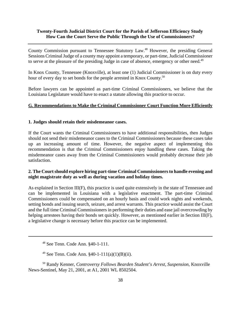County Commission pursuant to Tennessee Statutory Law.48 However, the presiding General Sessions Criminal Judge of a county may appoint a temporary, or part-time, Judicial Commissioner to serve at the pleasure of the presiding Judge in case of absence, emergency or other need.<sup>49</sup>

In Knox County, Tennessee (Knoxville), at least one (1) Judicial Commissioner is on duty every hour of every day to set bonds for the people arrested in Knox County.<sup>50</sup>

Before lawyers can be appointed as part-time Criminal Commissioners, we believe that the Louisiana Legislature would have to enact a statute allowing this practice to occur.

#### **G. Recommendations to Make the Criminal Commissioner Court Function More Efficiently**

#### **1. Judges should retain their misdemeanor cases.**

If the Court wants the Criminal Commissioners to have additional responsibilities, then Judges should not send their misdemeanor cases to the Criminal Commissioners because these cases take up an increasing amount of time. However, the negative aspect of implementing this recommendation is that the Criminal Commissioners enjoy handling these cases. Taking the misdemeanor cases away from the Criminal Commissioners would probably decrease their job satisfaction.

#### **2. The Court should explore hiring part-time Criminal Commissioners to handle evening and night magistrate duty as well as during vacation and holiday times.**

As explained in Section III(F), this practice is used quite extensively in the state of Tennessee and can be implemented in Louisiana with a legislative enactment. The part-time Criminal Commissioners could be compensated on an hourly basis and could work nights and weekends, setting bonds and issuing search, seizure, and arrest warrants. This practice would assist the Court and the full time Criminal Commissioners in performing their duties and ease jail overcrowding by helping arrestees having their bonds set quickly. However, as mentioned earlier in Section III(F), a legislative change is necessary before this practice can be implemented.

48 See Tenn. Code Ann. §40-1-111.

<sup>49</sup> See Tenn. Code Ann.  $$40-1-111(a)(1)(B)(ii)$ .

50 Randy Kenner, *Controversy Follows Bearden Student's Arrest, Suspension*, Knoxville News-Sentinel, May 21, 2001, at A1, 2001 WL 8502504.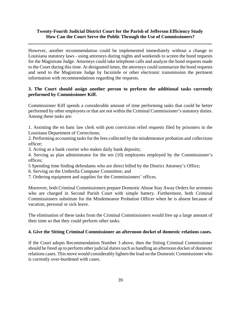However, another recommendation could be implemented immediately without a change to Louisiana statutory laws - using attorneys during nights and weekends to screen the bond requests for the Magistrate Judge. Attorneys could take telephone calls and analyze the bond requests made to the Court during this time. At designated times, the attorneys could summarize the bond requests and send to the Magistrate Judge by facsimile or other electronic transmission the pertinent information with recommendations regarding the requests.

## **3. The Court should assign another person to perform the additional tasks currently performed by Commissioner Kiff.**

Commissioner Kiff spends a considerable amount of time performing tasks that could be better performed by other employees or that are not within the Criminal Commissioner's statutory duties. Among these tasks are:

1. Assisting the en banc law clerk with post conviction relief requests filed by prisoners in the Louisiana Department of Corrections;

2. Performing accounting tasks for the fees collected by the misdemeanor probation and collections officer;

3. Acting as a bank courier who makes daily bank deposits;

4. Serving as plan administrator for the ten (10) employees employed by the Commissioner's offices;

5 Spending time finding defendants who are direct billed by the District Attorney's Office;

- 6. Serving on the Umbrella Computer Committee; and
- 7. Ordering equipment and supplies for the Commissioners' offices.

Moreover, both Criminal Commissioners prepare Domestic Abuse Stay Away Orders for arrestees who are charged in Second Parish Court with simple battery. Furthermore, both Criminal Commissioners substitute for the Misdemeanor Probation Officer when he is absent because of vacation, personal or sick leave.

The elimination of these tasks from the Criminal Commissioners would free up a large amount of their time so that they could perform other tasks.

#### **4. Give the Sitting Criminal Commissioner an afternoon docket of domestic relations cases.**

If the Court adopts Recommendation Number 3 above, then the Sitting Criminal Commissioner should be freed up to perform other judicial duties such as handling an afternoon docket of domestic relations cases. This move would considerably lighten the load on the Domestic Commissioner who is currently over-burdened with cases.